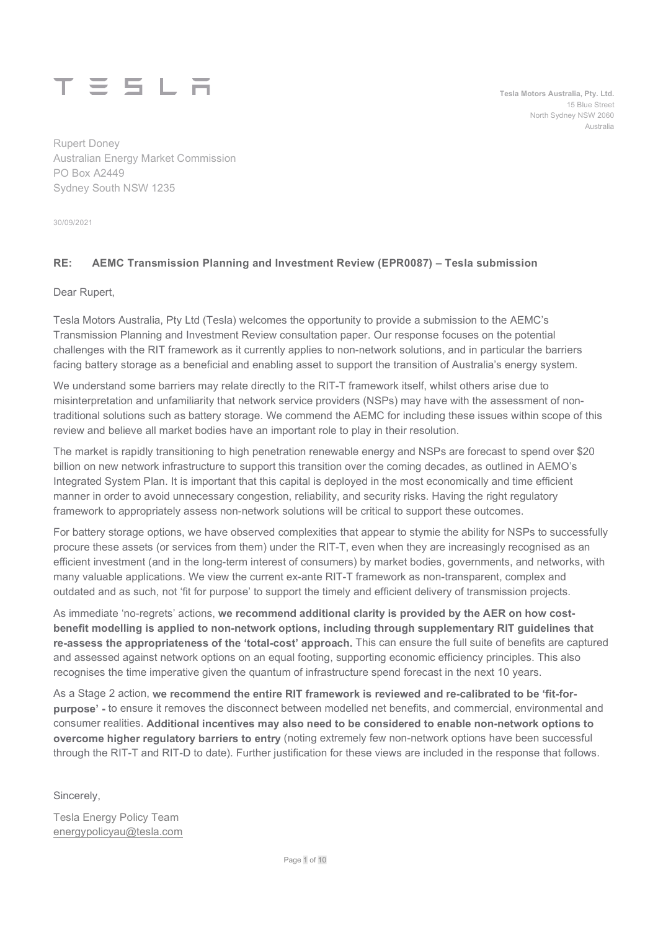

Tesla Motors Australia, Pty. Ltd. 15 Blue Street North Sydney NSW 2060 Australia

Rupert Doney Australian Energy Market Commission PO Box A2449 Sydney South NSW 1235

30/09/2021

## RE: AEMC Transmission Planning and Investment Review (EPR0087) – Tesla submission

Dear Rupert,

Tesla Motors Australia, Pty Ltd (Tesla) welcomes the opportunity to provide a submission to the AEMC's Transmission Planning and Investment Review consultation paper. Our response focuses on the potential challenges with the RIT framework as it currently applies to non-network solutions, and in particular the barriers facing battery storage as a beneficial and enabling asset to support the transition of Australia's energy system.

We understand some barriers may relate directly to the RIT-T framework itself, whilst others arise due to misinterpretation and unfamiliarity that network service providers (NSPs) may have with the assessment of nontraditional solutions such as battery storage. We commend the AEMC for including these issues within scope of this review and believe all market bodies have an important role to play in their resolution.

The market is rapidly transitioning to high penetration renewable energy and NSPs are forecast to spend over \$20 billion on new network infrastructure to support this transition over the coming decades, as outlined in AEMO's Integrated System Plan. It is important that this capital is deployed in the most economically and time efficient manner in order to avoid unnecessary congestion, reliability, and security risks. Having the right regulatory framework to appropriately assess non-network solutions will be critical to support these outcomes.

For battery storage options, we have observed complexities that appear to stymie the ability for NSPs to successfully procure these assets (or services from them) under the RIT-T, even when they are increasingly recognised as an efficient investment (and in the long-term interest of consumers) by market bodies, governments, and networks, with many valuable applications. We view the current ex-ante RIT-T framework as non-transparent, complex and outdated and as such, not 'fit for purpose' to support the timely and efficient delivery of transmission projects.

As immediate 'no-regrets' actions, we recommend additional clarity is provided by the AER on how costbenefit modelling is applied to non-network options, including through supplementary RIT guidelines that re-assess the appropriateness of the 'total-cost' approach. This can ensure the full suite of benefits are captured and assessed against network options on an equal footing, supporting economic efficiency principles. This also recognises the time imperative given the quantum of infrastructure spend forecast in the next 10 years.

As a Stage 2 action, we recommend the entire RIT framework is reviewed and re-calibrated to be 'fit-forpurpose' - to ensure it removes the disconnect between modelled net benefits, and commercial, environmental and consumer realities. Additional incentives may also need to be considered to enable non-network options to overcome higher regulatory barriers to entry (noting extremely few non-network options have been successful through the RIT-T and RIT-D to date). Further justification for these views are included in the response that follows.

Sincerely,

Tesla Energy Policy Team energypolicyau@tesla.com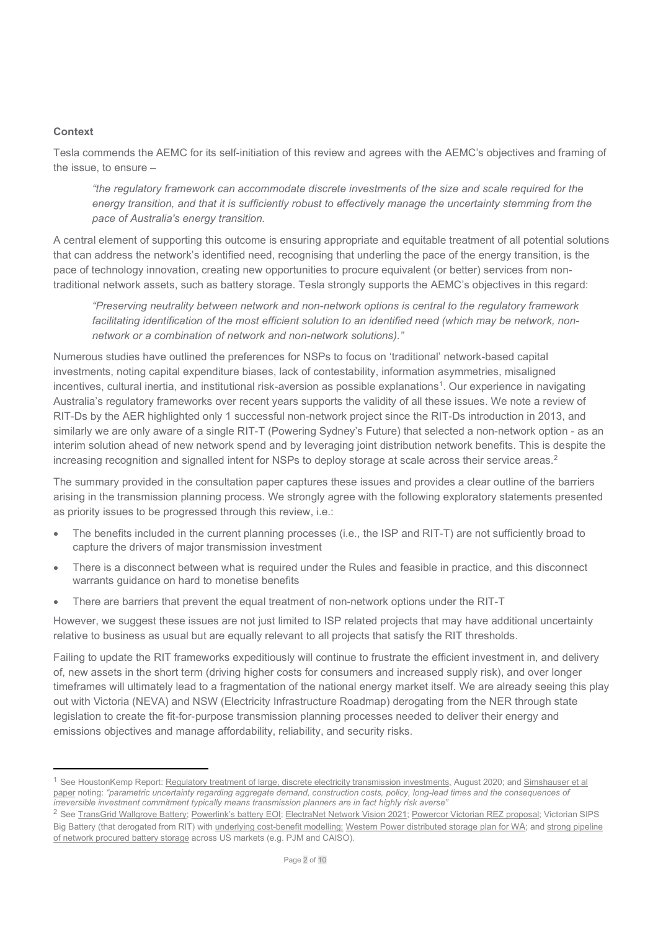### **Context**

Tesla commends the AEMC for its self-initiation of this review and agrees with the AEMC's objectives and framing of the issue, to ensure –

"the regulatory framework can accommodate discrete investments of the size and scale required for the energy transition, and that it is sufficiently robust to effectively manage the uncertainty stemming from the pace of Australia's energy transition.

A central element of supporting this outcome is ensuring appropriate and equitable treatment of all potential solutions that can address the network's identified need, recognising that underling the pace of the energy transition, is the pace of technology innovation, creating new opportunities to procure equivalent (or better) services from nontraditional network assets, such as battery storage. Tesla strongly supports the AEMC's objectives in this regard:

"Preserving neutrality between network and non-network options is central to the regulatory framework facilitating identification of the most efficient solution to an identified need (which may be network, nonnetwork or a combination of network and non-network solutions)."

Numerous studies have outlined the preferences for NSPs to focus on 'traditional' network-based capital investments, noting capital expenditure biases, lack of contestability, information asymmetries, misaligned incentives, cultural inertia, and institutional risk-aversion as possible explanations<sup>1</sup>. Our experience in navigating Australia's regulatory frameworks over recent years supports the validity of all these issues. We note a review of RIT-Ds by the AER highlighted only 1 successful non-network project since the RIT-Ds introduction in 2013, and similarly we are only aware of a single RIT-T (Powering Sydney's Future) that selected a non-network option - as an interim solution ahead of new network spend and by leveraging joint distribution network benefits. This is despite the increasing recognition and signalled intent for NSPs to deploy storage at scale across their service areas.<sup>2</sup>

The summary provided in the consultation paper captures these issues and provides a clear outline of the barriers arising in the transmission planning process. We strongly agree with the following exploratory statements presented as priority issues to be progressed through this review, i.e.:

- The benefits included in the current planning processes (i.e., the ISP and RIT-T) are not sufficiently broad to capture the drivers of major transmission investment
- There is a disconnect between what is required under the Rules and feasible in practice, and this disconnect warrants guidance on hard to monetise benefits
- There are barriers that prevent the equal treatment of non-network options under the RIT-T

However, we suggest these issues are not just limited to ISP related projects that may have additional uncertainty relative to business as usual but are equally relevant to all projects that satisfy the RIT thresholds.

Failing to update the RIT frameworks expeditiously will continue to frustrate the efficient investment in, and delivery of, new assets in the short term (driving higher costs for consumers and increased supply risk), and over longer timeframes will ultimately lead to a fragmentation of the national energy market itself. We are already seeing this play out with Victoria (NEVA) and NSW (Electricity Infrastructure Roadmap) derogating from the NER through state legislation to create the fit-for-purpose transmission planning processes needed to deliver their energy and emissions objectives and manage affordability, reliability, and security risks.

<sup>&</sup>lt;sup>1</sup> See HoustonKemp Report: Regulatory treatment of large, discrete electricity transmission investments, August 2020; and Simshauser et al paper noting: "parametric uncertainty regarding aggregate demand, construction costs, policy, long-lead times and the consequences of irreversible investment commitment typically means transmission planners are in fact highly risk averse"

<sup>&</sup>lt;sup>2</sup> See TransGrid Wallgrove Battery; Powerlink's battery EOI; ElectraNet Network Vision 2021; Powercor Victorian REZ proposal; Victorian SIPS Big Battery (that derogated from RIT) with underlying cost-benefit modelling; Western Power distributed storage plan for WA; and strong pipeline of network procured battery storage across US markets (e.g. PJM and CAISO).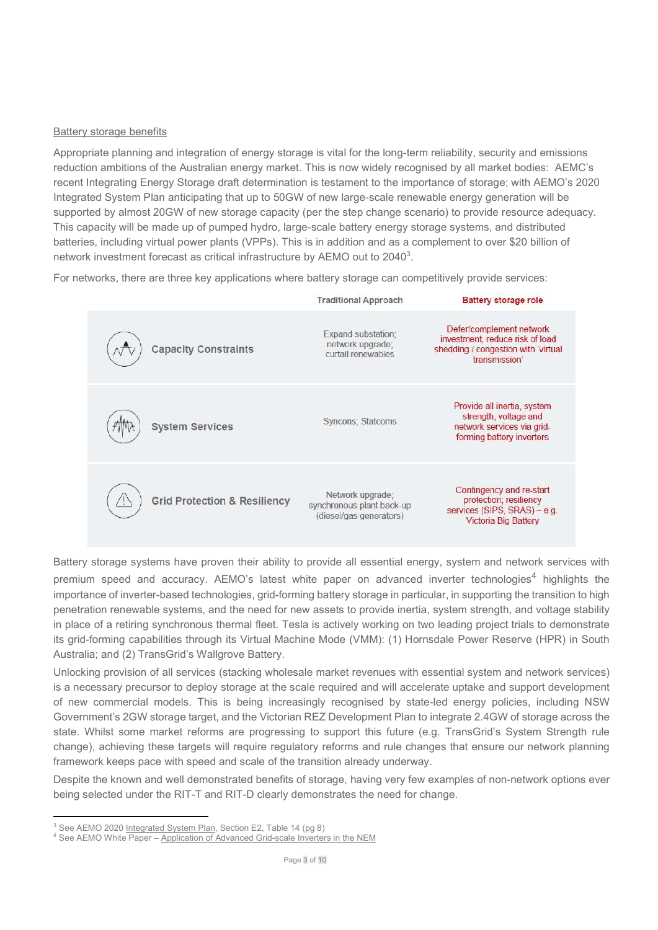### Battery storage benefits

Appropriate planning and integration of energy storage is vital for the long-term reliability, security and emissions reduction ambitions of the Australian energy market. This is now widely recognised by all market bodies: AEMC's recent Integrating Energy Storage draft determination is testament to the importance of storage; with AEMO's 2020 Integrated System Plan anticipating that up to 50GW of new large-scale renewable energy generation will be supported by almost 20GW of new storage capacity (per the step change scenario) to provide resource adequacy. This capacity will be made up of pumped hydro, large-scale battery energy storage systems, and distributed batteries, including virtual power plants (VPPs). This is in addition and as a complement to over \$20 billion of network investment forecast as critical infrastructure by AEMO out to 2040<sup>3</sup>.

For networks, there are three key applications where battery storage can competitively provide services:



Battery storage systems have proven their ability to provide all essential energy, system and network services with premium speed and accuracy. AEMO's latest white paper on advanced inverter technologies<sup>4</sup> highlights the importance of inverter-based technologies, grid-forming battery storage in particular, in supporting the transition to high penetration renewable systems, and the need for new assets to provide inertia, system strength, and voltage stability in place of a retiring synchronous thermal fleet. Tesla is actively working on two leading project trials to demonstrate its grid-forming capabilities through its Virtual Machine Mode (VMM): (1) Hornsdale Power Reserve (HPR) in South Australia; and (2) TransGrid's Wallgrove Battery.

Unlocking provision of all services (stacking wholesale market revenues with essential system and network services) is a necessary precursor to deploy storage at the scale required and will accelerate uptake and support development of new commercial models. This is being increasingly recognised by state-led energy policies, including NSW Government's 2GW storage target, and the Victorian REZ Development Plan to integrate 2.4GW of storage across the state. Whilst some market reforms are progressing to support this future (e.g. TransGrid's System Strength rule change), achieving these targets will require regulatory reforms and rule changes that ensure our network planning framework keeps pace with speed and scale of the transition already underway.

Despite the known and well demonstrated benefits of storage, having very few examples of non-network options ever being selected under the RIT-T and RIT-D clearly demonstrates the need for change.

<sup>&</sup>lt;sup>3</sup> See AEMO 2020 Integrated System Plan, Section E2, Table 14 (pg 8)

<sup>&</sup>lt;sup>4</sup> See AEMO White Paper - Application of Advanced Grid-scale Inverters in the NEM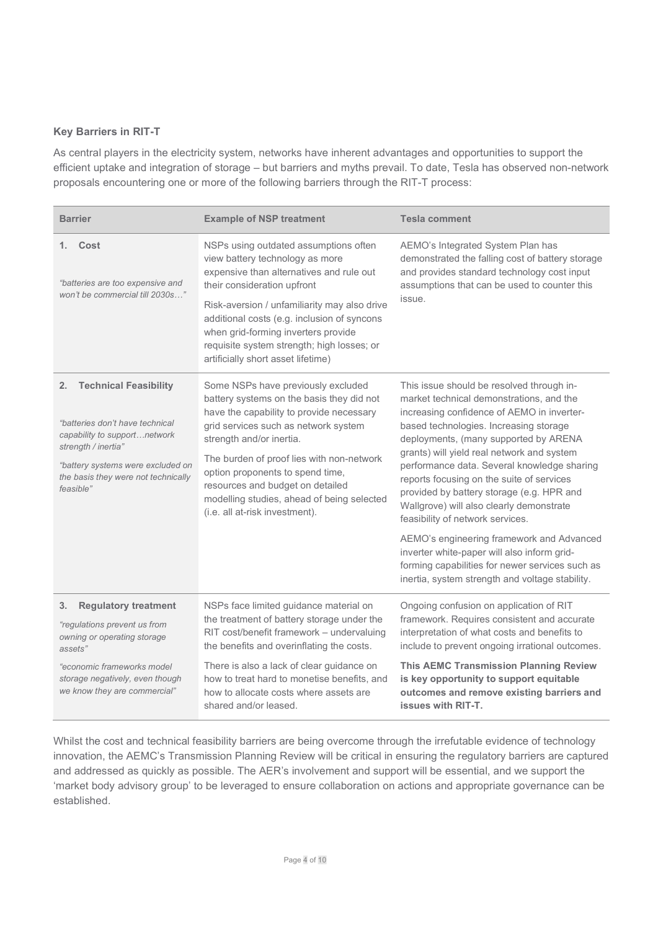# Key Barriers in RIT-T

As central players in the electricity system, networks have inherent advantages and opportunities to support the efficient uptake and integration of storage – but barriers and myths prevail. To date, Tesla has observed non-network proposals encountering one or more of the following barriers through the RIT-T process:

| <b>Barrier</b>                                                                                                                                                                                                        | <b>Example of NSP treatment</b>                                                                                                                                                                                                                                                                                                                                                                      | <b>Tesla comment</b>                                                                                                                                                                                                                                                                                                                                                                                                                                                                                                                                                                                                                                                                            |
|-----------------------------------------------------------------------------------------------------------------------------------------------------------------------------------------------------------------------|------------------------------------------------------------------------------------------------------------------------------------------------------------------------------------------------------------------------------------------------------------------------------------------------------------------------------------------------------------------------------------------------------|-------------------------------------------------------------------------------------------------------------------------------------------------------------------------------------------------------------------------------------------------------------------------------------------------------------------------------------------------------------------------------------------------------------------------------------------------------------------------------------------------------------------------------------------------------------------------------------------------------------------------------------------------------------------------------------------------|
| Cost<br>1.<br>"batteries are too expensive and<br>won't be commercial till 2030s"                                                                                                                                     | NSPs using outdated assumptions often<br>view battery technology as more<br>expensive than alternatives and rule out<br>their consideration upfront<br>Risk-aversion / unfamiliarity may also drive<br>additional costs (e.g. inclusion of syncons<br>when grid-forming inverters provide<br>requisite system strength; high losses; or<br>artificially short asset lifetime)                        | AEMO's Integrated System Plan has<br>demonstrated the falling cost of battery storage<br>and provides standard technology cost input<br>assumptions that can be used to counter this<br>issue.                                                                                                                                                                                                                                                                                                                                                                                                                                                                                                  |
| <b>Technical Feasibility</b><br>2.<br>"batteries don't have technical<br>capability to supportnetwork<br>strength / inertia"<br>"battery systems were excluded on<br>the basis they were not technically<br>feasible" | Some NSPs have previously excluded<br>battery systems on the basis they did not<br>have the capability to provide necessary<br>grid services such as network system<br>strength and/or inertia.<br>The burden of proof lies with non-network<br>option proponents to spend time,<br>resources and budget on detailed<br>modelling studies, ahead of being selected<br>(i.e. all at-risk investment). | This issue should be resolved through in-<br>market technical demonstrations, and the<br>increasing confidence of AEMO in inverter-<br>based technologies. Increasing storage<br>deployments, (many supported by ARENA<br>grants) will yield real network and system<br>performance data. Several knowledge sharing<br>reports focusing on the suite of services<br>provided by battery storage (e.g. HPR and<br>Wallgrove) will also clearly demonstrate<br>feasibility of network services.<br>AEMO's engineering framework and Advanced<br>inverter white-paper will also inform grid-<br>forming capabilities for newer services such as<br>inertia, system strength and voltage stability. |
| <b>Regulatory treatment</b><br>3.<br>"regulations prevent us from<br>owning or operating storage<br>assets"<br>"economic frameworks model                                                                             | NSPs face limited guidance material on<br>the treatment of battery storage under the<br>RIT cost/benefit framework - undervaluing<br>the benefits and overinflating the costs.<br>There is also a lack of clear guidance on                                                                                                                                                                          | Ongoing confusion on application of RIT<br>framework. Requires consistent and accurate<br>interpretation of what costs and benefits to<br>include to prevent ongoing irrational outcomes.<br><b>This AEMC Transmission Planning Review</b>                                                                                                                                                                                                                                                                                                                                                                                                                                                      |
| storage negatively, even though<br>we know they are commercial"                                                                                                                                                       | how to treat hard to monetise benefits, and<br>how to allocate costs where assets are<br>shared and/or leased.                                                                                                                                                                                                                                                                                       | is key opportunity to support equitable<br>outcomes and remove existing barriers and<br>issues with RIT-T.                                                                                                                                                                                                                                                                                                                                                                                                                                                                                                                                                                                      |

Whilst the cost and technical feasibility barriers are being overcome through the irrefutable evidence of technology innovation, the AEMC's Transmission Planning Review will be critical in ensuring the regulatory barriers are captured and addressed as quickly as possible. The AER's involvement and support will be essential, and we support the 'market body advisory group' to be leveraged to ensure collaboration on actions and appropriate governance can be established.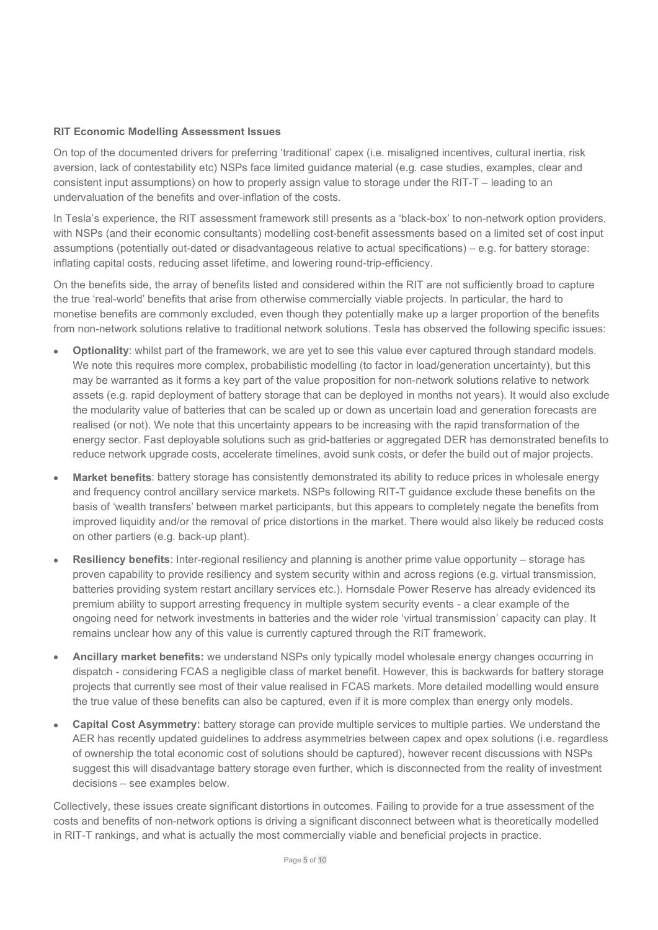## RIT Economic Modelling Assessment Issues

On top of the documented drivers for preferring 'traditional' capex (i.e. misaligned incentives, cultural inertia, risk aversion, lack of contestability etc) NSPs face limited guidance material (e.g. case studies, examples, clear and consistent input assumptions) on how to properly assign value to storage under the RIT-T – leading to an undervaluation of the benefits and over-inflation of the costs.

In Tesla's experience, the RIT assessment framework still presents as a 'black-box' to non-network option providers, with NSPs (and their economic consultants) modelling cost-benefit assessments based on a limited set of cost input assumptions (potentially out-dated or disadvantageous relative to actual specifications) – e.g. for battery storage: inflating capital costs, reducing asset lifetime, and lowering round-trip-efficiency.

On the benefits side, the array of benefits listed and considered within the RIT are not sufficiently broad to capture the true 'real-world' benefits that arise from otherwise commercially viable projects. In particular, the hard to monetise benefits are commonly excluded, even though they potentially make up a larger proportion of the benefits from non-network solutions relative to traditional network solutions. Tesla has observed the following specific issues:

- Optionality: whilst part of the framework, we are yet to see this value ever captured through standard models. We note this requires more complex, probabilistic modelling (to factor in load/generation uncertainty), but this may be warranted as it forms a key part of the value proposition for non-network solutions relative to network assets (e.g. rapid deployment of battery storage that can be deployed in months not years). It would also exclude the modularity value of batteries that can be scaled up or down as uncertain load and generation forecasts are realised (or not). We note that this uncertainty appears to be increasing with the rapid transformation of the energy sector. Fast deployable solutions such as grid-batteries or aggregated DER has demonstrated benefits to reduce network upgrade costs, accelerate timelines, avoid sunk costs, or defer the build out of major projects.
- Market benefits: battery storage has consistently demonstrated its ability to reduce prices in wholesale energy and frequency control ancillary service markets. NSPs following RIT-T guidance exclude these benefits on the basis of 'wealth transfers' between market participants, but this appears to completely negate the benefits from improved liquidity and/or the removal of price distortions in the market. There would also likely be reduced costs on other partiers (e.g. back-up plant).
- Resiliency benefits: Inter-regional resiliency and planning is another prime value opportunity storage has proven capability to provide resiliency and system security within and across regions (e.g. virtual transmission, batteries providing system restart ancillary services etc.). Hornsdale Power Reserve has already evidenced its premium ability to support arresting frequency in multiple system security events - a clear example of the ongoing need for network investments in batteries and the wider role 'virtual transmission' capacity can play. It remains unclear how any of this value is currently captured through the RIT framework.
- Ancillary market benefits: we understand NSPs only typically model wholesale energy changes occurring in dispatch - considering FCAS a negligible class of market benefit. However, this is backwards for battery storage projects that currently see most of their value realised in FCAS markets. More detailed modelling would ensure the true value of these benefits can also be captured, even if it is more complex than energy only models.
- Capital Cost Asymmetry: battery storage can provide multiple services to multiple parties. We understand the AER has recently updated guidelines to address asymmetries between capex and opex solutions (i.e. regardless of ownership the total economic cost of solutions should be captured), however recent discussions with NSPs suggest this will disadvantage battery storage even further, which is disconnected from the reality of investment decisions – see examples below.

Collectively, these issues create significant distortions in outcomes. Failing to provide for a true assessment of the costs and benefits of non-network options is driving a significant disconnect between what is theoretically modelled in RIT-T rankings, and what is actually the most commercially viable and beneficial projects in practice.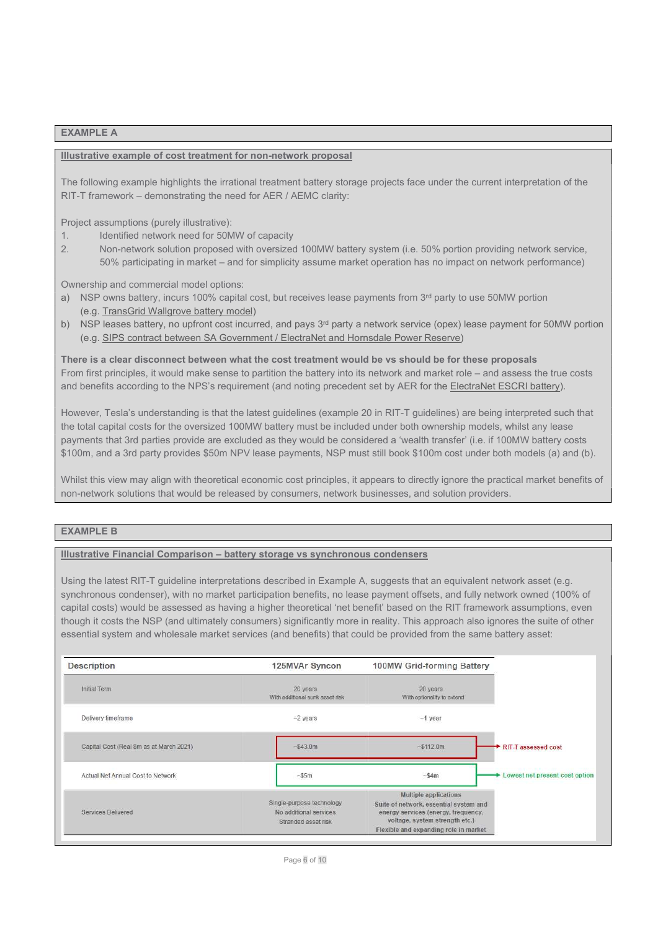#### EXAMPLE A

#### Illustrative example of cost treatment for non-network proposal

The following example highlights the irrational treatment battery storage projects face under the current interpretation of the RIT-T framework – demonstrating the need for AER / AEMC clarity:

Project assumptions (purely illustrative):

- 1. Identified network need for 50MW of capacity
- 2. Non-network solution proposed with oversized 100MW battery system (i.e. 50% portion providing network service, 50% participating in market – and for simplicity assume market operation has no impact on network performance)

Ownership and commercial model options:

- a) NSP owns battery, incurs 100% capital cost, but receives lease payments from 3<sup>rd</sup> party to use 50MW portion (e.g. TransGrid Wallgrove battery model)
- b) NSP leases battery, no upfront cost incurred, and pays 3<sup>rd</sup> party a network service (opex) lease payment for 50MW portion (e.g. SIPS contract between SA Government / ElectraNet and Hornsdale Power Reserve)

There is a clear disconnect between what the cost treatment would be vs should be for these proposals From first principles, it would make sense to partition the battery into its network and market role – and assess the true costs and benefits according to the NPS's requirement (and noting precedent set by AER for the ElectraNet ESCRI battery).

However, Tesla's understanding is that the latest guidelines (example 20 in RIT-T guidelines) are being interpreted such that the total capital costs for the oversized 100MW battery must be included under both ownership models, whilst any lease payments that 3rd parties provide are excluded as they would be considered a 'wealth transfer' (i.e. if 100MW battery costs \$100m, and a 3rd party provides \$50m NPV lease payments, NSP must still book \$100m cost under both models (a) and (b).

Whilst this view may align with theoretical economic cost principles, it appears to directly ignore the practical market benefits of non-network solutions that would be released by consumers, network businesses, and solution providers.

### EXAMPLE B

#### Illustrative Financial Comparison – battery storage vs synchronous condensers

Using the latest RIT-T guideline interpretations described in Example A, suggests that an equivalent network asset (e.g. synchronous condenser), with no market participation benefits, no lease payment offsets, and fully network owned (100% of capital costs) would be assessed as having a higher theoretical 'net benefit' based on the RIT framework assumptions, even though it costs the NSP (and ultimately consumers) significantly more in reality. This approach also ignores the suite of other essential system and wholesale market services (and benefits) that could be provided from the same battery asset:

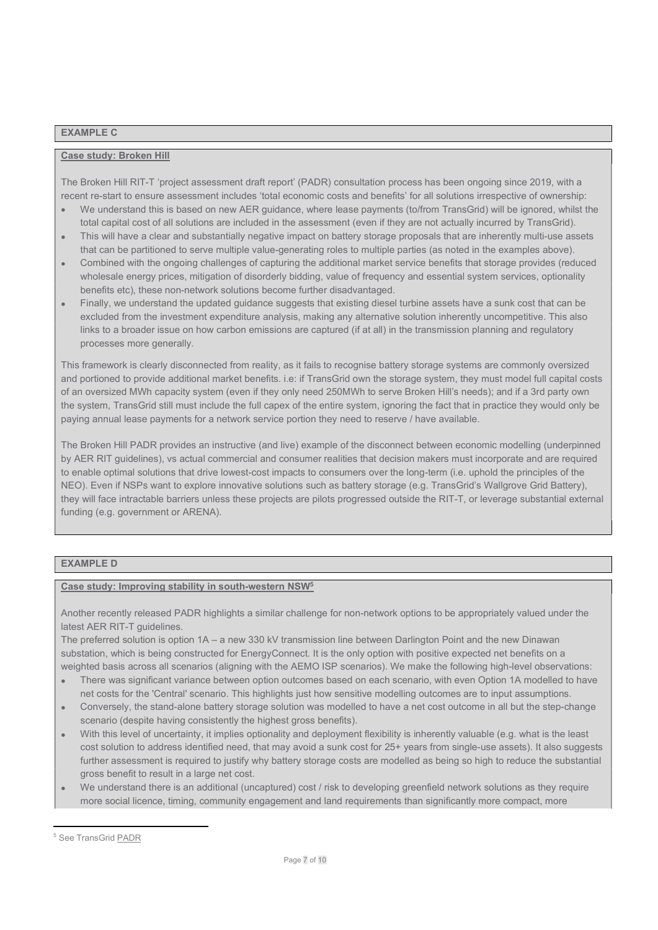#### EXAMPLE C

### Case study: Broken Hill

The Broken Hill RIT-T 'project assessment draft report' (PADR) consultation process has been ongoing since 2019, with a recent re-start to ensure assessment includes 'total economic costs and benefits' for all solutions irrespective of ownership:

- We understand this is based on new AER guidance, where lease payments (to/from TransGrid) will be ignored, whilst the total capital cost of all solutions are included in the assessment (even if they are not actually incurred by TransGrid).
- This will have a clear and substantially negative impact on battery storage proposals that are inherently multi-use assets that can be partitioned to serve multiple value-generating roles to multiple parties (as noted in the examples above).
- Combined with the ongoing challenges of capturing the additional market service benefits that storage provides (reduced wholesale energy prices, mitigation of disorderly bidding, value of frequency and essential system services, optionality benefits etc), these non-network solutions become further disadvantaged.
- Finally, we understand the updated guidance suggests that existing diesel turbine assets have a sunk cost that can be excluded from the investment expenditure analysis, making any alternative solution inherently uncompetitive. This also links to a broader issue on how carbon emissions are captured (if at all) in the transmission planning and regulatory processes more generally.

This framework is clearly disconnected from reality, as it fails to recognise battery storage systems are commonly oversized and portioned to provide additional market benefits. i.e: if TransGrid own the storage system, they must model full capital costs of an oversized MWh capacity system (even if they only need 250MWh to serve Broken Hill's needs); and if a 3rd party own the system, TransGrid still must include the full capex of the entire system, ignoring the fact that in practice they would only be paying annual lease payments for a network service portion they need to reserve / have available.

The Broken Hill PADR provides an instructive (and live) example of the disconnect between economic modelling (underpinned by AER RIT guidelines), vs actual commercial and consumer realities that decision makers must incorporate and are required to enable optimal solutions that drive lowest-cost impacts to consumers over the long-term (i.e. uphold the principles of the NEO). Even if NSPs want to explore innovative solutions such as battery storage (e.g. TransGrid's Wallgrove Grid Battery), they will face intractable barriers unless these projects are pilots progressed outside the RIT-T, or leverage substantial external funding (e.g. government or ARENA).

# EXAMPLE D

#### Case study: Improving stability in south-western NSW<sup>5</sup>

Another recently released PADR highlights a similar challenge for non-network options to be appropriately valued under the latest AER RIT-T guidelines.

The preferred solution is option 1A – a new 330 kV transmission line between Darlington Point and the new Dinawan substation, which is being constructed for EnergyConnect. It is the only option with positive expected net benefits on a weighted basis across all scenarios (aligning with the AEMO ISP scenarios). We make the following high-level observations:

- There was significant variance between option outcomes based on each scenario, with even Option 1A modelled to have net costs for the 'Central' scenario. This highlights just how sensitive modelling outcomes are to input assumptions.
- Conversely, the stand-alone battery storage solution was modelled to have a net cost outcome in all but the step-change scenario (despite having consistently the highest gross benefits).
- With this level of uncertainty, it implies optionality and deployment flexibility is inherently valuable (e.g. what is the least cost solution to address identified need, that may avoid a sunk cost for 25+ years from single-use assets). It also suggests further assessment is required to justify why battery storage costs are modelled as being so high to reduce the substantial gross benefit to result in a large net cost.
- We understand there is an additional (uncaptured) cost / risk to developing greenfield network solutions as they require more social licence, timing, community engagement and land requirements than significantly more compact, more

<sup>&</sup>lt;sup>5</sup> See TransGrid **PADR**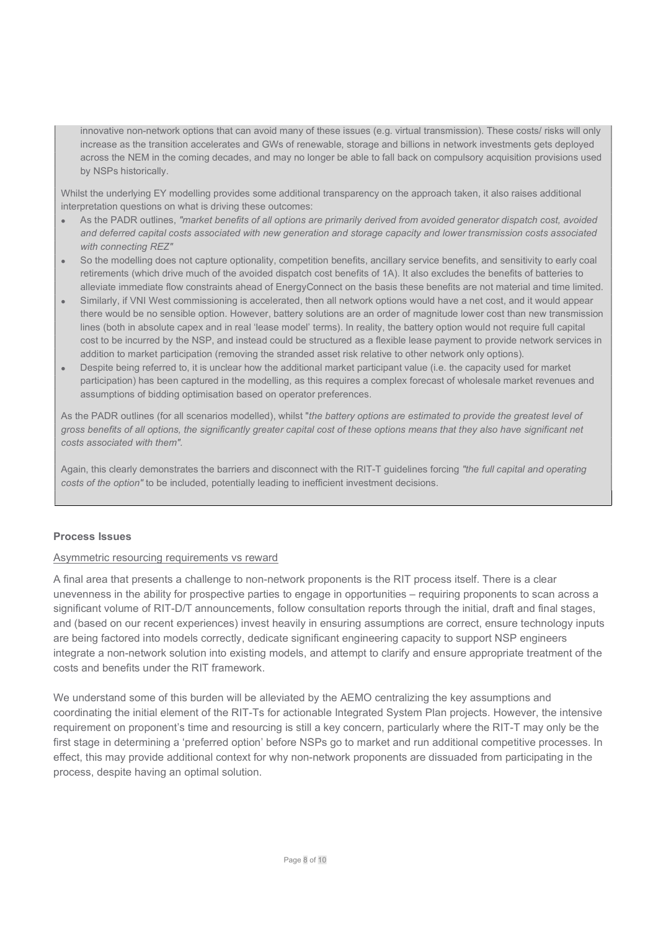innovative non-network options that can avoid many of these issues (e.g. virtual transmission). These costs/ risks will only increase as the transition accelerates and GWs of renewable, storage and billions in network investments gets deployed across the NEM in the coming decades, and may no longer be able to fall back on compulsory acquisition provisions used by NSPs historically.

Whilst the underlying EY modelling provides some additional transparency on the approach taken, it also raises additional interpretation questions on what is driving these outcomes:

- As the PADR outlines, "market benefits of all options are primarily derived from avoided generator dispatch cost, avoided and deferred capital costs associated with new generation and storage capacity and lower transmission costs associated with connecting REZ"
- So the modelling does not capture optionality, competition benefits, ancillary service benefits, and sensitivity to early coal retirements (which drive much of the avoided dispatch cost benefits of 1A). It also excludes the benefits of batteries to alleviate immediate flow constraints ahead of EnergyConnect on the basis these benefits are not material and time limited.
- Similarly, if VNI West commissioning is accelerated, then all network options would have a net cost, and it would appear there would be no sensible option. However, battery solutions are an order of magnitude lower cost than new transmission lines (both in absolute capex and in real 'lease model' terms). In reality, the battery option would not require full capital cost to be incurred by the NSP, and instead could be structured as a flexible lease payment to provide network services in addition to market participation (removing the stranded asset risk relative to other network only options).
- Despite being referred to, it is unclear how the additional market participant value (i.e. the capacity used for market participation) has been captured in the modelling, as this requires a complex forecast of wholesale market revenues and assumptions of bidding optimisation based on operator preferences.

As the PADR outlines (for all scenarios modelled), whilst "the battery options are estimated to provide the greatest level of gross benefits of all options, the significantly greater capital cost of these options means that they also have significant net costs associated with them".

Again, this clearly demonstrates the barriers and disconnect with the RIT-T guidelines forcing "the full capital and operating costs of the option" to be included, potentially leading to inefficient investment decisions.

## Process Issues

### Asymmetric resourcing requirements vs reward

A final area that presents a challenge to non-network proponents is the RIT process itself. There is a clear unevenness in the ability for prospective parties to engage in opportunities – requiring proponents to scan across a significant volume of RIT-D/T announcements, follow consultation reports through the initial, draft and final stages, and (based on our recent experiences) invest heavily in ensuring assumptions are correct, ensure technology inputs are being factored into models correctly, dedicate significant engineering capacity to support NSP engineers integrate a non-network solution into existing models, and attempt to clarify and ensure appropriate treatment of the costs and benefits under the RIT framework.

We understand some of this burden will be alleviated by the AEMO centralizing the key assumptions and coordinating the initial element of the RIT-Ts for actionable Integrated System Plan projects. However, the intensive requirement on proponent's time and resourcing is still a key concern, particularly where the RIT-T may only be the first stage in determining a 'preferred option' before NSPs go to market and run additional competitive processes. In effect, this may provide additional context for why non-network proponents are dissuaded from participating in the process, despite having an optimal solution.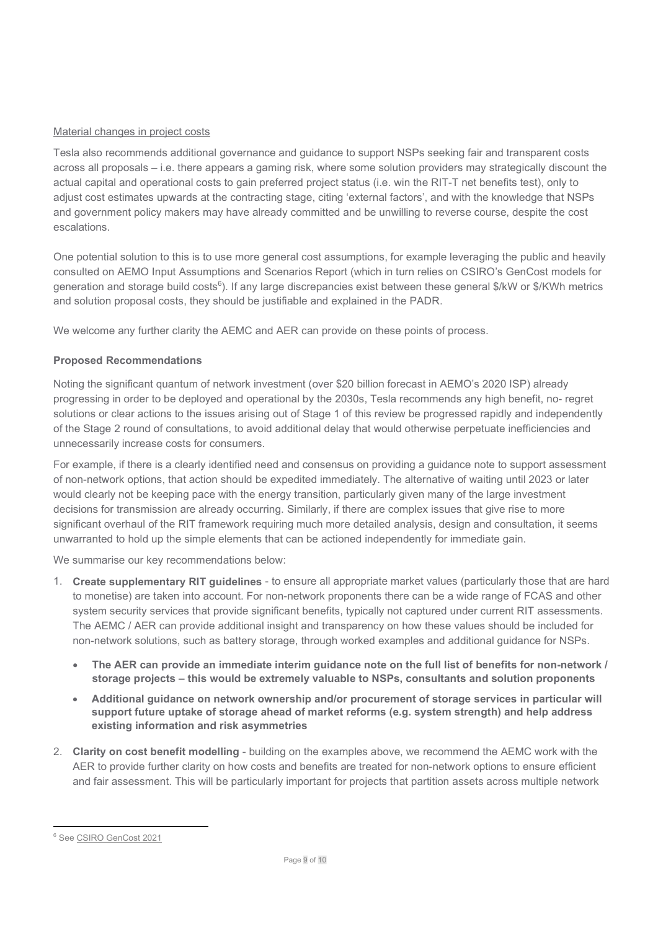# Material changes in project costs

Tesla also recommends additional governance and guidance to support NSPs seeking fair and transparent costs across all proposals – i.e. there appears a gaming risk, where some solution providers may strategically discount the actual capital and operational costs to gain preferred project status (i.e. win the RIT-T net benefits test), only to adjust cost estimates upwards at the contracting stage, citing 'external factors', and with the knowledge that NSPs and government policy makers may have already committed and be unwilling to reverse course, despite the cost escalations.

One potential solution to this is to use more general cost assumptions, for example leveraging the public and heavily consulted on AEMO Input Assumptions and Scenarios Report (which in turn relies on CSIRO's GenCost models for generation and storage build costs<sup>6</sup>). If any large discrepancies exist between these general \$/kW or \$/KWh metrics and solution proposal costs, they should be justifiable and explained in the PADR.

We welcome any further clarity the AEMC and AER can provide on these points of process.

# Proposed Recommendations

Noting the significant quantum of network investment (over \$20 billion forecast in AEMO's 2020 ISP) already progressing in order to be deployed and operational by the 2030s, Tesla recommends any high benefit, no- regret solutions or clear actions to the issues arising out of Stage 1 of this review be progressed rapidly and independently of the Stage 2 round of consultations, to avoid additional delay that would otherwise perpetuate inefficiencies and unnecessarily increase costs for consumers.

For example, if there is a clearly identified need and consensus on providing a guidance note to support assessment of non-network options, that action should be expedited immediately. The alternative of waiting until 2023 or later would clearly not be keeping pace with the energy transition, particularly given many of the large investment decisions for transmission are already occurring. Similarly, if there are complex issues that give rise to more significant overhaul of the RIT framework requiring much more detailed analysis, design and consultation, it seems unwarranted to hold up the simple elements that can be actioned independently for immediate gain.

We summarise our key recommendations below:

- 1. Create supplementary RIT guidelines to ensure all appropriate market values (particularly those that are hard to monetise) are taken into account. For non-network proponents there can be a wide range of FCAS and other system security services that provide significant benefits, typically not captured under current RIT assessments. The AEMC / AER can provide additional insight and transparency on how these values should be included for non-network solutions, such as battery storage, through worked examples and additional guidance for NSPs.
	- The AER can provide an immediate interim guidance note on the full list of benefits for non-network / storage projects – this would be extremely valuable to NSPs, consultants and solution proponents
	- Additional guidance on network ownership and/or procurement of storage services in particular will support future uptake of storage ahead of market reforms (e.g. system strength) and help address existing information and risk asymmetries
- 2. Clarity on cost benefit modelling building on the examples above, we recommend the AEMC work with the AER to provide further clarity on how costs and benefits are treated for non-network options to ensure efficient and fair assessment. This will be particularly important for projects that partition assets across multiple network

<sup>6</sup> See CSIRO GenCost 2021